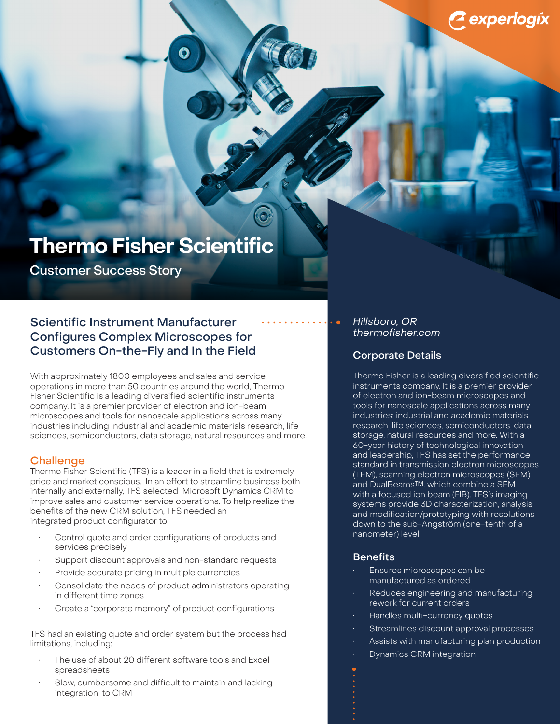# **Thermo Fisher Scientific**

Customer Success Story

## Scientific Instrument Manufacturer Configures Complex Microscopes for Customers On-the-Fly and In the Field

With approximately 1800 employees and sales and service operations in more than 50 countries around the world, Thermo Fisher Scientific is a leading diversified scientific instruments company. It is a premier provider of electron and ion-beam microscopes and tools for nanoscale applications across many industries including industrial and academic materials research, life sciences, semiconductors, data storage, natural resources and more.

### **Challenge**

Thermo Fisher Scientific (TFS) is a leader in a field that is extremely price and market conscious. In an effort to streamline business both internally and externally, TFS selected Microsoft Dynamics CRM to improve sales and customer service operations. To help realize the benefits of the new CRM solution, TFS needed an integrated product configurator to:

- Control quote and order configurations of products and services precisely
- Support discount approvals and non-standard requests
- Provide accurate pricing in multiple currencies
- Consolidate the needs of product administrators operating in different time zones
- Create a "corporate memory" of product configurations

TFS had an existing quote and order system but the process had limitations, including:

- The use of about 20 different software tools and Excel spreadsheets
- Slow, cumbersome and difficult to maintain and lacking integration to CRM

#### Hillsboro, OR <thermofisher.com>

## Corporate Details

Thermo Fisher is a leading diversified scientific instruments company. It is a premier provider of electron and ion-beam microscopes and tools for nanoscale applications across many industries: industrial and academic materials research, life sciences, semiconductors, data storage, natural resources and more. With a 60-year history of technological innovation and leadership, TFS has set the performance standard in transmission electron microscopes (TEM), scanning electron microscopes (SEM) and DualBeams™, which combine a SEM with a focused ion beam (FIB). TFS's imaging systems provide 3D characterization, analysis and modification/prototyping with resolutions down to the sub-Angström (one-tenth of a nanometer) level.

#### **Benefits**

- Ensures microscopes can be manufactured as ordered
- Reduces engineering and manufacturing rework for current orders
- Handles multi-currency quotes
- Streamlines discount approval processes
- Assists with manufacturing plan production
- Dynamics CRM integration